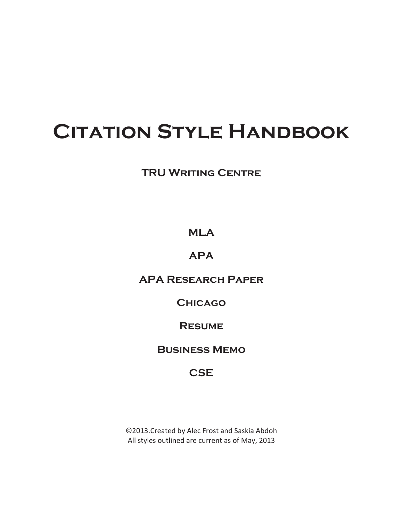# **Citation Style Handbook**

# **TRU WRITING CENTRE**

# **MLA**

# **APA**

## **APA Research Paper**

## **Chicago**

## **Resume**

# **Business Memo**

# **CSE**

©2013.Created by Alec Frost and Saskia Abdoh All styles outlined are current as of May, 2013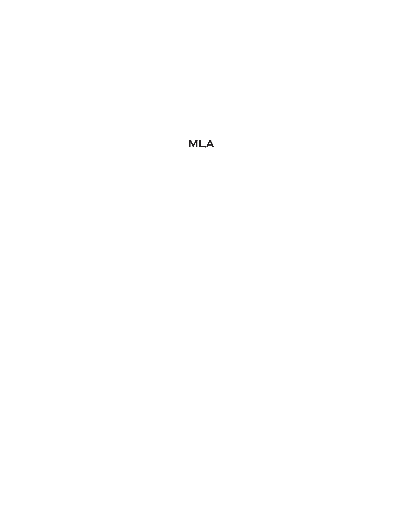# **MLA**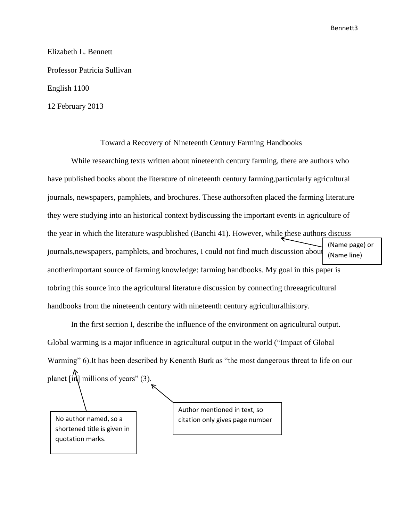Bennett3

Elizabeth L. Bennett Professor Patricia Sullivan English 1100 12 February 2013

#### Toward a Recovery of Nineteenth Century Farming Handbooks

While researching texts written about nineteenth century farming, there are authors who have published books about the literature of nineteenth century farming,particularly agricultural journals, newspapers, pamphlets, and brochures. These authorsoften placed the farming literature they were studying into an historical context bydiscussing the important events in agriculture of the year in which the literature waspublished (Banchi 41). However, while these authors discuss journals,newspapers, pamphlets, and brochures, I could not find much discussion about anotherimportant source of farming knowledge: farming handbooks. My goal in this paper is tobring this source into the agricultural literature discussion by connecting threeagricultural handbooks from the nineteenth century with nineteenth century agriculturalhistory. (Name page) or (Name line)

In the first section I, describe the influence of the environment on agricultural output. Global warming is a major influence in agricultural output in the world ("Impact of Global Warming" 6).It has been described by Kenenth Burk as "the most dangerous threat to life on our planet  $\left[\text{in}\right]$  millions of years" (3).

shortened title is given in quotation marks.

Author mentioned in text, so No author named, so a  $\vert$  citation only gives page number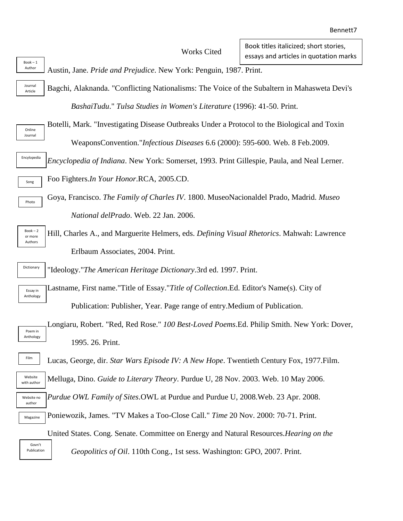#### Works Cited

Austin, Jane. *Pride and Prejudice*. New York: Penguin, 1987. Print. Author

Bagchi, Alaknanda. "Conflicting Nationalisms: The Voice of the Subaltern in Mahasweta Devi's *BashaiTudu*." *Tulsa Studies in Women's Literature* (1996): 41-50. Print. Journal Article

Online Journal

Song

Photo

Book – 1

Botelli, Mark. "Investigating Disease Outbreaks Under a Protocol to the Biological and Toxin WeaponsConvention."*Infectious Diseases* 6.6 (2000): 595-600. Web. 8 Feb.2009.

*Encyclopedia of Indiana*. New York: Somerset, 1993. Print Gillespie, Paula, and Neal Lerner. Encylopedia

Foo Fighters.*In Your Honor*.RCA, 2005.CD.

Goya, Francisco. *The Family of Charles IV*. 1800. MuseoNacionaldel Prado, Madrid. *Museo National delPrado*. Web. 22 Jan. 2006.

Book – 2 or more Authors

Hill, Charles A., and Marguerite Helmers, eds. *Defining Visual Rhetorics*. Mahwah: Lawrence Erlbaum Associates, 2004. Print.

"Ideology."*The American Heritage Dictionary*.3rd ed. 1997. Print. Dictionary

Lastname, First name."Title of Essay."*Title of Collection*.Ed. Editor's Name(s). City of Publication: Publisher, Year. Page range of entry.Medium of Publication. Essay in Anthology

Longiaru, Robert. "Red, Red Rose." *100 Best-Loved Poems*.Ed. Philip Smith. New York: Dover, 1995. 26. Print. Poem in Anthology

Lucas, George, dir. *Star Wars Episode IV: A New Hope*. Twentieth Century Fox, 1977.Film.

Melluga, Dino. *Guide to Literary Theory*. Purdue U, 28 Nov. 2003. Web. 10 May 2006. Website with autho

- *Purdue OWL Family of Sites*.OWL at Purdue and Purdue U, 2008.Web. 23 Apr. 2008. Website no
- Poniewozik, James. "TV Makes a Too-Close Call." *Time* 20 Nov. 2000: 70-71. Print. Magazine

United States. Cong. Senate. Committee on Energy and Natural Resources.*Hearing on the*

Govn't Publication

Film

autho

*Geopolitics of Oil*. 110th Cong., 1st sess. Washington: GPO, 2007. Print.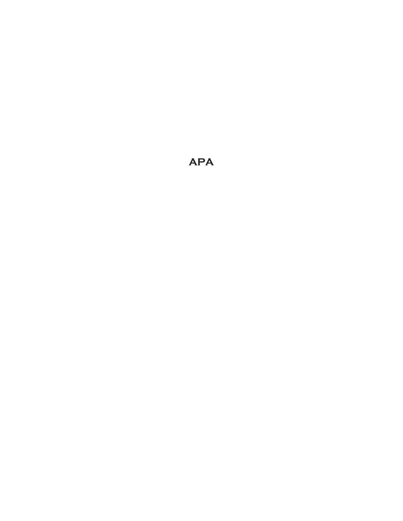**APA**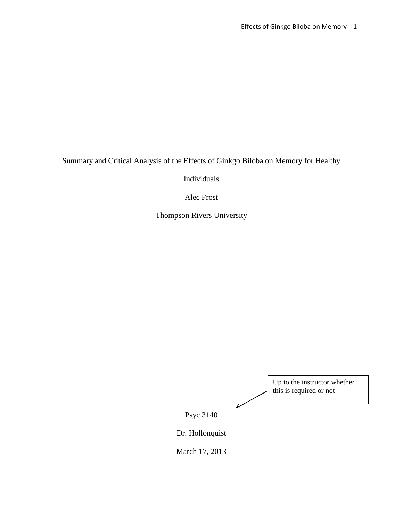Summary and Critical Analysis of the Effects of Ginkgo Biloba on Memory for Healthy

Individuals

Alec Frost

Thompson Rivers University

Up to the instructor whether this is required or notŁ Psyc 3140 Dr. Hollonquist

March 17, 2013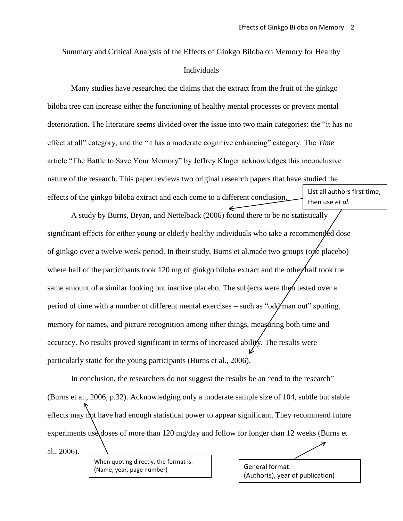Summary and Critical Analysis of the Effects of Ginkgo Biloba on Memory for Healthy Individuals

Many studies have researched the claims that the extract from the fruit of the ginkgo biloba tree can increase either the functioning of healthy mental processes or prevent mental deterioration. The literature seems divided over the issue into two main categories: the "it has no effect at all" category, and the "it has a moderate cognitive enhancing" category. The *Time* article "The Battle to Save Your Memory" by Jeffrey Kluger acknowledges this inconclusive nature of the research. This paper reviews two original research papers that have studied the effects of the ginkgo biloba extract and each come to a different conclusion. List all authors first time, then use *et al.*

A study by Burns, Bryan, and Nettelback (2006) found there to be no statistically significant effects for either young or elderly healthy individuals who take a recommended dose of ginkgo over a twelve week period. In their study, Burns et al.made two groups (one placebo) where half of the participants took 120 mg of ginkgo biloba extract and the other half took the same amount of a similar looking but inactive placebo. The subjects were then tested over a period of time with a number of different mental exercises – such as "odd man out" spotting, memory for names, and picture recognition among other things, measuring both time and accuracy. No results proved significant in terms of increased ability. The results were particularly static for the young participants (Burns et al., 2006).

In conclusion, the researchers do not suggest the results be an "end to the research" (Burns et al., 2006, p.32). Acknowledging only a moderate sample size of 104, subtle but stable effects may not have had enough statistical power to appear significant. They recommend future experiments use doses of more than 120 mg/day and follow for longer than 12 weeks (Burns et al., 2006).

When quoting directly, the format is: (Name, year, page number)

General format: (Author(s), year of publication)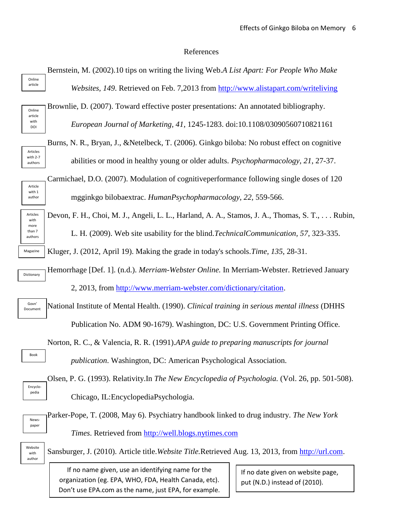#### References

Bernstein, M. (2002).10 tips on writing the living Web.*A List Apart: For People Who Make Websites, 149*. Retrieved on Feb. 7,2013 from<http://www.alistapart.com/writeliving> Brownlie, D. (2007). Toward effective poster presentations: An annotated bibliography. *European Journal of Marketing, 41*, 1245-1283. doi:10.1108/03090560710821161 Burns, N. R., Bryan, J., &Netelbeck, T. (2006). Ginkgo biloba: No robust effect on cognitive abilities or mood in healthy young or older adults. *Psychopharmacology*, *21*, 27-37. Carmichael, D.O. (2007). Modulation of cognitiveperformance following single doses of 120 mgginkgo bilobaextrac. *HumanPsychopharmacology*, *22,* 559-566. Devon, F. H., Choi, M. J., Angeli, L. L., Harland, A. A., Stamos, J. A., Thomas, S. T., . . . Rubin, L. H. (2009). Web site usability for the blind.*TechnicalCommunication, 57*, 323-335. Kluger, J. (2012, April 19). Making the grade in today's schools.*Time, 135*, 28-31. Hemorrhage [Def. 1]. (n.d.). *Merriam-Webster Online.* In Merriam-Webster. Retrieved January 2, 2013, from [http://www.merriam-webster.com/dictionary/citation.](http://www.merriam-webster.com/dictionary/citation) National Institute of Mental Health. (1990). *Clinical training in serious mental illness* (DHHS Publication No. ADM 90-1679). Washington, DC: U.S. Government Printing Office. Norton, R. C., & Valencia, R. R. (1991).*APA guide to preparing manuscripts for journal publication*. Washington, DC: American Psychological Association. Olsen, P. G. (1993). Relativity.In *The New Encyclopedia of Psychologia.* (Vol. 26, pp. 501-508). Chicago, IL:EncyclopediaPsychologia. Parker-Pope, T. (2008, May 6). Psychiatry handbook linked to drug industry. *The New York Times*. Retrieved from [http://well.blogs.nytimes.com](http://well.blogs.nytimes.com/) Sansburger, J. (2010). Article title.*Website Title.*Retrieved Aug. 13, 2013, from [http://url.com.](http://url.com/) Online article Online article with DOI Articles with 2-7 authors Article with 1 author Articles with more than 7 authors Magazine Dictionary Govn' Document Book Encyclopedia Newspaper Websit with author If no date given on website page, put (N.D.) instead of (2010). If no name given, use an identifying name for the organization (eg. EPA, WHO, FDA, Health Canada, etc). Don't use EPA.com as the name, just EPA, for example.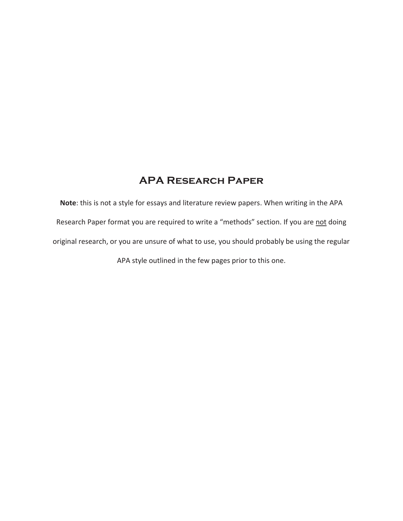## **APA Research Paper**

**Note**: this is not a style for essays and literature review papers. When writing in the APA Research Paper format you are required to write a "methods" section. If you are not doing original research, or you are unsure of what to use, you should probably be using the regular APA style outlined in the few pages prior to this one.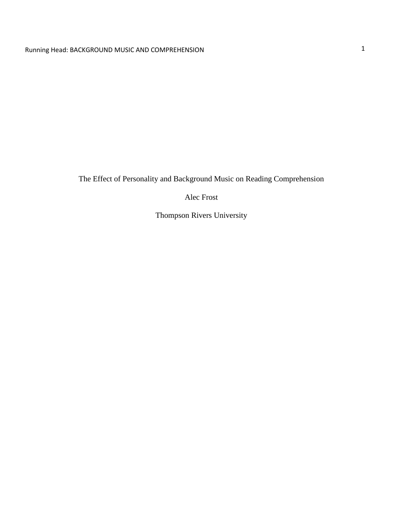The Effect of Personality and Background Music on Reading Comprehension

Alec Frost

Thompson Rivers University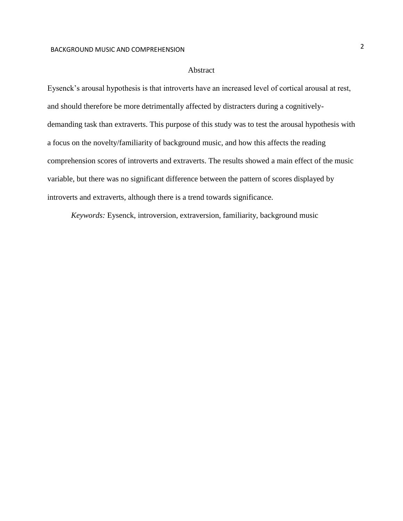#### Abstract

Eysenck's arousal hypothesis is that introverts have an increased level of cortical arousal at rest, and should therefore be more detrimentally affected by distracters during a cognitivelydemanding task than extraverts. This purpose of this study was to test the arousal hypothesis with a focus on the novelty/familiarity of background music, and how this affects the reading comprehension scores of introverts and extraverts. The results showed a main effect of the music variable, but there was no significant difference between the pattern of scores displayed by introverts and extraverts, although there is a trend towards significance.

*Keywords:* Eysenck, introversion, extraversion, familiarity, background music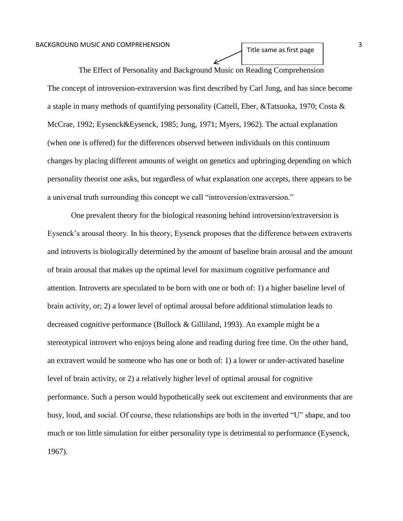The Effect of Personality and Background Music on Reading Comprehension The concept of introversion-extraversion was first described by Carl Jung, and has since become a staple in many methods of quantifying personality (Cattell, Eber, &Tatsuoka, 1970; Costa &

Title same as first page

McCrae, 1992; Eysenck&Eysenck, 1985; Jung, 1971; Myers, 1962). The actual explanation (when one is offered) for the differences observed between individuals on this continuum changes by placing different amounts of weight on genetics and upbringing depending on which personality theorist one asks, but regardless of what explanation one accepts, there appears to be a universal truth surrounding this concept we call "introversion/extraversion."

One prevalent theory for the biological reasoning behind introversion/extraversion is Eysenck's arousal theory. In his theory, Eysenck proposes that the difference between extraverts and introverts is biologically determined by the amount of baseline brain arousal and the amount of brain arousal that makes up the optimal level for maximum cognitive performance and attention. Introverts are speculated to be born with one or both of: 1) a higher baseline level of brain activity, or; 2) a lower level of optimal arousal before additional stimulation leads to decreased cognitive performance (Bullock & Gilliland, 1993). An example might be a stereotypical introvert who enjoys being alone and reading during free time. On the other hand, an extravert would be someone who has one or both of: 1) a lower or under-activated baseline level of brain activity, or 2) a relatively higher level of optimal arousal for cognitive performance. Such a person would hypothetically seek out excitement and environments that are busy, loud, and social. Of course, these relationships are both in the inverted "U" shape, and too much or too little simulation for either personality type is detrimental to performance (Eysenck, 1967).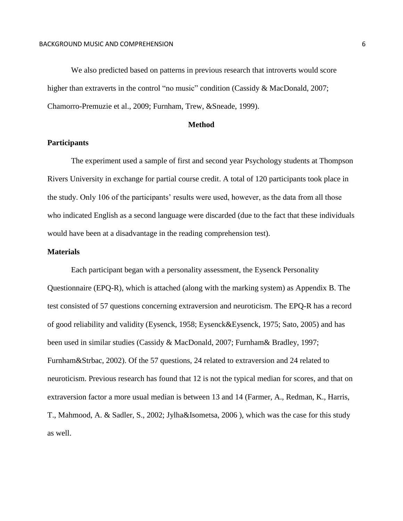We also predicted based on patterns in previous research that introverts would score higher than extraverts in the control "no music" condition (Cassidy & MacDonald, 2007; Chamorro-Premuzie et al., 2009; Furnham, Trew, &Sneade, 1999).

#### **Method**

#### **Participants**

The experiment used a sample of first and second year Psychology students at Thompson Rivers University in exchange for partial course credit. A total of 120 participants took place in the study. Only 106 of the participants' results were used, however, as the data from all those who indicated English as a second language were discarded (due to the fact that these individuals would have been at a disadvantage in the reading comprehension test).

#### **Materials**

Each participant began with a personality assessment, the Eysenck Personality Questionnaire (EPQ-R), which is attached (along with the marking system) as Appendix B. The test consisted of 57 questions concerning extraversion and neuroticism. The EPQ-R has a record of good reliability and validity (Eysenck, 1958; Eysenck&Eysenck, 1975; Sato, 2005) and has been used in similar studies (Cassidy & MacDonald, 2007; Furnham& Bradley, 1997; Furnham&Strbac, 2002). Of the 57 questions, 24 related to extraversion and 24 related to neuroticism. Previous research has found that 12 is not the typical median for scores, and that on extraversion factor a more usual median is between 13 and 14 (Farmer, A., Redman, K., Harris, T., Mahmood, A. & Sadler, S., 2002; Jylha&Isometsa, 2006 ), which was the case for this study as well.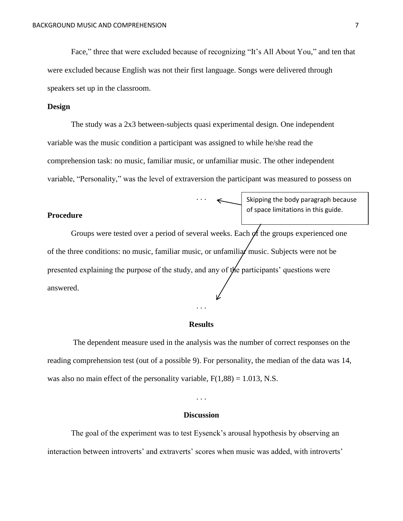Face," three that were excluded because of recognizing "It's All About You," and ten that were excluded because English was not their first language. Songs were delivered through speakers set up in the classroom.

#### **Design**

The study was a 2x3 between-subjects quasi experimental design. One independent variable was the music condition a participant was assigned to while he/she read the comprehension task: no music, familiar music, or unfamiliar music. The other independent variable, "Personality," was the level of extraversion the participant was measured to possess on

. . .

#### **Procedure**

Skipping the body paragraph because of space limitations in this guide.

Groups were tested over a period of several weeks. Each of the groups experienced one of the three conditions: no music, familiar music, or unfamiliar music. Subjects were not be presented explaining the purpose of the study, and any of the participants' questions were answered.

#### **Results**

. . .

The dependent measure used in the analysis was the number of correct responses on the reading comprehension test (out of a possible 9). For personality, the median of the data was 14, was also no main effect of the personality variable,  $F(1,88) = 1.013$ , N.S.

. . .

#### **Discussion**

The goal of the experiment was to test Eysenck's arousal hypothesis by observing an interaction between introverts' and extraverts' scores when music was added, with introverts'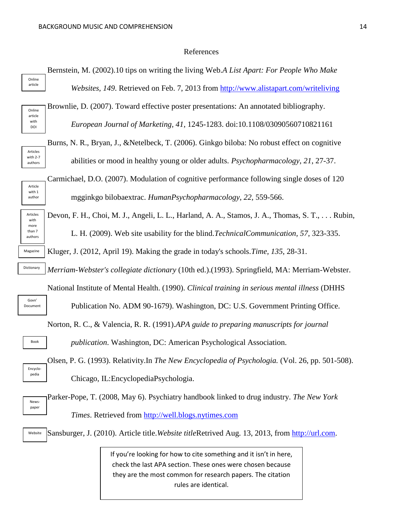#### References

Bernstein, M. (2002).10 tips on writing the living Web.*A List Apart: For People Who Make Websites, 149*. Retrieved on Feb. 7, 2013 from<http://www.alistapart.com/writeliving> Online article



Articles with 2-7 authors

Article with 1 author Brownlie, D. (2007). Toward effective poster presentations: An annotated bibliography.

*European Journal of Marketing, 41*, 1245-1283. doi:10.1108/03090560710821161

Burns, N. R., Bryan, J., &Netelbeck, T. (2006). Ginkgo biloba: No robust effect on cognitive abilities or mood in healthy young or older adults. *Psychopharmacology*, *21*, 27-37.

Carmichael, D.O. (2007). Modulation of cognitive performance following single doses of 120 mgginkgo bilobaextrac. *HumanPsychopharmacology*, *22,* 559-566.

Articles with more than 7 authors Magazine

Dictionary

Govn' Document

Book

Encyclopedia

Devon, F. H., Choi, M. J., Angeli, L. L., Harland, A. A., Stamos, J. A., Thomas, S. T., . . . Rubin, L. H. (2009). Web site usability for the blind.*TechnicalCommunication, 57*, 323-335.

Kluger, J. (2012, April 19). Making the grade in today's schools.*Time, 135*, 28-31.

*Merriam-Webster's collegiate dictionary* (10th ed.).(1993). Springfield, MA: Merriam-Webster.

National Institute of Mental Health. (1990). *Clinical training in serious mental illness* (DHHS

Publication No. ADM 90-1679). Washington, DC: U.S. Government Printing Office.

Norton, R. C., & Valencia, R. R. (1991).*APA guide to preparing manuscripts for journal*

*publication*. Washington, DC: American Psychological Association.

Olsen, P. G. (1993). Relativity.In *The New Encyclopedia of Psychologia.* (Vol. 26, pp. 501-508). Chicago, IL:EncyclopediaPsychologia.

Parker-Pope, T. (2008, May 6). Psychiatry handbook linked to drug industry. *The New York Times*. Retrieved from [http://well.blogs.nytimes.com](http://well.blogs.nytimes.com/) Newspaper

Sansburger, J. (2010). Article title.*Website title*Retrived Aug. 13, 2013, from [http://url.com.](http://url.com/) Website

> If you're looking for how to cite something and it isn't in here, check the last APA section. These ones were chosen because they are the most common for research papers. The citation rules are identical.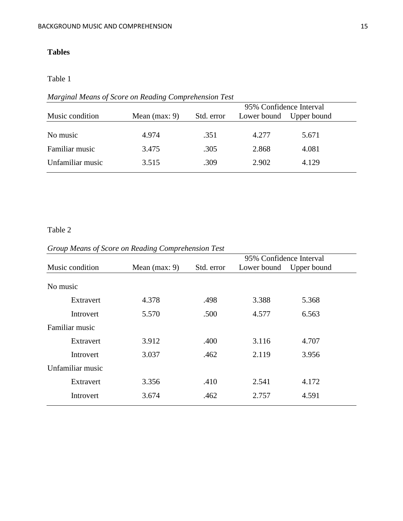### **Tables**

#### Table 1

### *Marginal Means of Score on Reading Comprehension Test*

|                  | 95% Confidence Interval |            |             |             |  |
|------------------|-------------------------|------------|-------------|-------------|--|
| Music condition  | Mean $(max: 9)$         | Std. error | Lower bound | Upper bound |  |
|                  |                         |            |             |             |  |
| No music         | 4.974                   | .351       | 4.277       | 5.671       |  |
| Familiar music   | 3.475                   | .305       | 2.868       | 4.081       |  |
| Unfamiliar music | 3.515                   | .309       | 2.902       | 4.129       |  |

### Table 2

### *Group Means of Score on Reading Comprehension Test*

|                  |                 |            | 95% Confidence Interval |             |  |
|------------------|-----------------|------------|-------------------------|-------------|--|
| Music condition  | Mean $(max: 9)$ | Std. error | Lower bound             | Upper bound |  |
|                  |                 |            |                         |             |  |
| No music         |                 |            |                         |             |  |
| Extravert        | 4.378           | .498       | 3.388                   | 5.368       |  |
| Introvert        | 5.570           | .500       | 4.577                   | 6.563       |  |
| Familiar music   |                 |            |                         |             |  |
| Extravert        | 3.912           | .400       | 3.116                   | 4.707       |  |
| Introvert        | 3.037           | .462       | 2.119                   | 3.956       |  |
| Unfamiliar music |                 |            |                         |             |  |
| Extravert        | 3.356           | .410       | 2.541                   | 4.172       |  |
| Introvert        | 3.674           | .462       | 2.757                   | 4.591       |  |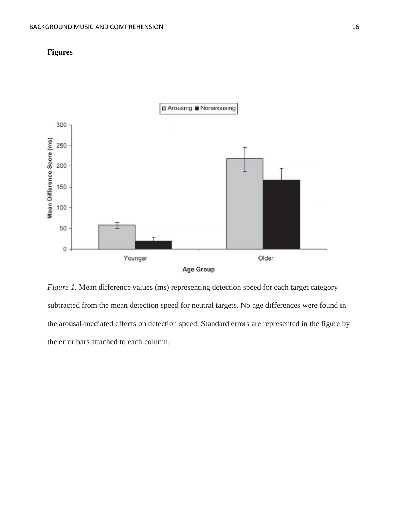



*Figure 1*. Mean difference values (ms) representing detection speed for each target category subtracted from the mean detection speed for neutral targets. No age differences were found in the arousal-mediated effects on detection speed. Standard errors are represented in the figure by the error bars attached to each column.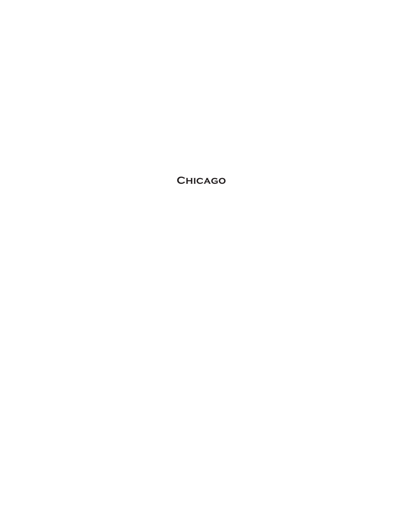**Chicago**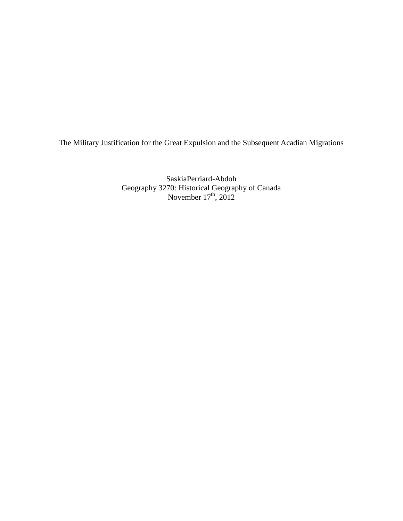The Military Justification for the Great Expulsion and the Subsequent Acadian Migrations

SaskiaPerriard-Abdoh Geography 3270: Historical Geography of Canada November  $17<sup>th</sup>$ , 2012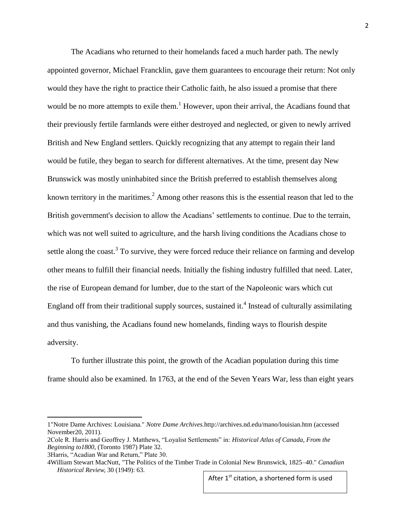The Acadians who returned to their homelands faced a much harder path. The newly appointed governor, Michael Francklin, gave them guarantees to encourage their return: Not only would they have the right to practice their Catholic faith, he also issued a promise that there would be no more attempts to exile them.<sup>1</sup> However, upon their arrival, the Acadians found that their previously fertile farmlands were either destroyed and neglected, or given to newly arrived British and New England settlers. Quickly recognizing that any attempt to regain their land would be futile, they began to search for different alternatives. At the time, present day New Brunswick was mostly uninhabited since the British preferred to establish themselves along known territory in the maritimes.<sup>2</sup> Among other reasons this is the essential reason that led to the British government's decision to allow the Acadians' settlements to continue. Due to the terrain, which was not well suited to agriculture, and the harsh living conditions the Acadians chose to settle along the coast.<sup>3</sup> To survive, they were forced reduce their reliance on farming and develop other means to fulfill their financial needs. Initially the fishing industry fulfilled that need. Later, the rise of European demand for lumber, due to the start of the Napoleonic wars which cut England off from their traditional supply sources, sustained it.<sup>4</sup> Instead of culturally assimilating and thus vanishing, the Acadians found new homelands, finding ways to flourish despite adversity.

To further illustrate this point, the growth of the Acadian population during this time frame should also be examined. In 1763, at the end of the Seven Years War, less than eight years

 $\overline{\phantom{a}}$ 

After 1<sup>st</sup> citation, a shortened form is used

<sup>1&</sup>quot;Notre Dame Archives: Louisiana." *Notre Dame Archives.*http://archives.nd.edu/mano/louisian.htm (accessed November20, 2011).

<sup>2</sup>Cole R. Harris and Geoffrey J. Matthews, "Loyalist Settlements" in: *Historical Atlas of Canada, From the Beginning to1800,* (Toronto 1987) Plate 32.

<sup>3</sup>Harris, "Acadian War and Return," Plate 30.

<sup>4</sup>William Stewart MacNutt, "The Politics of the Timber Trade in Colonial New Brunswick, 1825–40." *Canadian Historical Review,* 30 (1949): 63.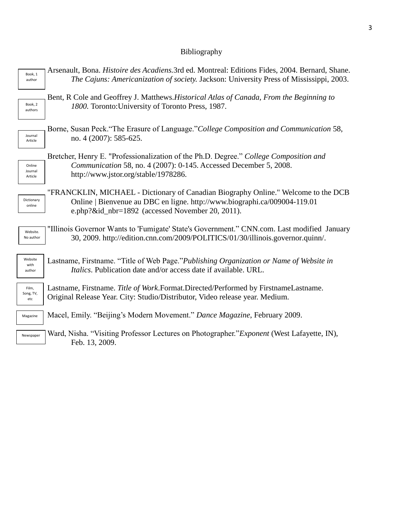# Bibliography

| Book, 1                   | Arsenault, Bona. <i>Histoire des Acadiens.</i> 3rd ed. Montreal: Editions Fides, 2004. Bernard, Shane.                                                                                                              |
|---------------------------|---------------------------------------------------------------------------------------------------------------------------------------------------------------------------------------------------------------------|
| author                    | The Cajuns: Americanization of society. Jackson: University Press of Mississippi, 2003.                                                                                                                             |
| Book, 2                   | Bent, R Cole and Geoffrey J. Matthews. Historical Atlas of Canada, From the Beginning to                                                                                                                            |
| authors                   | 1800. Toronto: University of Toronto Press, 1987.                                                                                                                                                                   |
| Journal                   | Borne, Susan Peck."The Erasure of Language."College Composition and Communication 58,                                                                                                                               |
| Article                   | no. 4 (2007): 585-625.                                                                                                                                                                                              |
| Online                    | Bretcher, Henry E. "Professionalization of the Ph.D. Degree." College Composition and                                                                                                                               |
| Journal                   | Communication 58, no. 4 (2007): 0-145. Accessed December 5, 2008.                                                                                                                                                   |
| Article                   | http://www.jstor.org/stable/1978286.                                                                                                                                                                                |
| Dictionary<br>online      | "FRANCKLIN, MICHAEL - Dictionary of Canadian Biography Online." Welcome to the DCB<br>Online   Bienvenue au DBC en ligne. http://www.biographi.ca/009004-119.01<br>e.php?&id_nbr=1892 (accessed November 20, 2011). |
| Website.                  | "Illinois Governor Wants to 'Fumigate' State's Government." CNN.com. Last modified January                                                                                                                          |
| No author                 | 30, 2009. http://edition.cnn.com/2009/POLITICS/01/30/illinois.governor.quinn/.                                                                                                                                      |
| Website<br>with<br>author | Lastname, Firstname. "Title of Web Page."Publishing Organization or Name of Website in<br>Italics. Publication date and/or access date if available. URL.                                                           |
| Film,<br>Song, TV,<br>etc | Lastname, Firstname. Title of Work.Format.Directed/Performed by FirstnameLastname.<br>Original Release Year. City: Studio/Distributor, Video release year. Medium.                                                  |
| Magazine                  | Macel, Emily. "Beijing's Modern Movement." Dance Magazine, February 2009.                                                                                                                                           |
| Newspaper                 | Ward, Nisha. "Visiting Professor Lectures on Photographer." Exponent (West Lafayette, IN),<br>Feb. 13, 2009.                                                                                                        |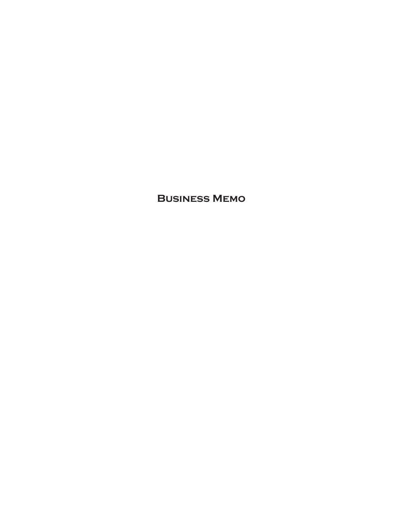**Business Memo**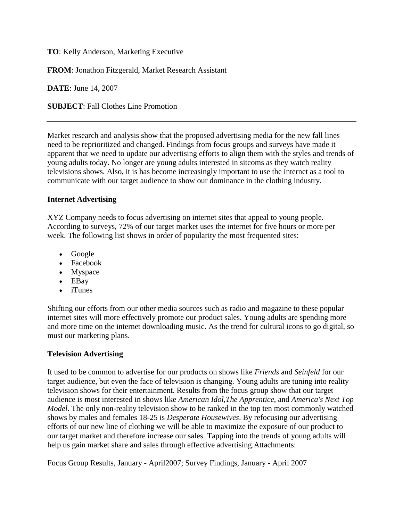**TO**: Kelly Anderson, Marketing Executive

**FROM**: Jonathon Fitzgerald, Market Research Assistant

**DATE**: June 14, 2007

**SUBJECT**: Fall Clothes Line Promotion

Market research and analysis show that the proposed advertising media for the new fall lines need to be reprioritized and changed. Findings from focus groups and surveys have made it apparent that we need to update our advertising efforts to align them with the styles and trends of young adults today. No longer are young adults interested in sitcoms as they watch reality televisions shows. Also, it is has become increasingly important to use the internet as a tool to communicate with our target audience to show our dominance in the clothing industry.

### **Internet Advertising**

XYZ Company needs to focus advertising on internet sites that appeal to young people. According to surveys, 72% of our target market uses the internet for five hours or more per week. The following list shows in order of popularity the most frequented sites:

- Google
- Facebook
- Myspace
- EBay
- iTunes

Shifting our efforts from our other media sources such as radio and magazine to these popular internet sites will more effectively promote our product sales. Young adults are spending more and more time on the internet downloading music. As the trend for cultural icons to go digital, so must our marketing plans.

### **Television Advertising**

It used to be common to advertise for our products on shows like *Friends* and *Seinfeld* for our target audience, but even the face of television is changing. Young adults are tuning into reality television shows for their entertainment. Results from the focus group show that our target audience is most interested in shows like *American Idol*,*The Apprentice*, and *America's Next Top Model*. The only non-reality television show to be ranked in the top ten most commonly watched shows by males and females 18-25 is *Desperate Housewives*. By refocusing our advertising efforts of our new line of clothing we will be able to maximize the exposure of our product to our target market and therefore increase our sales. Tapping into the trends of young adults will help us gain market share and sales through effective advertising.Attachments:

Focus Group Results, January - April2007; Survey Findings, January - April 2007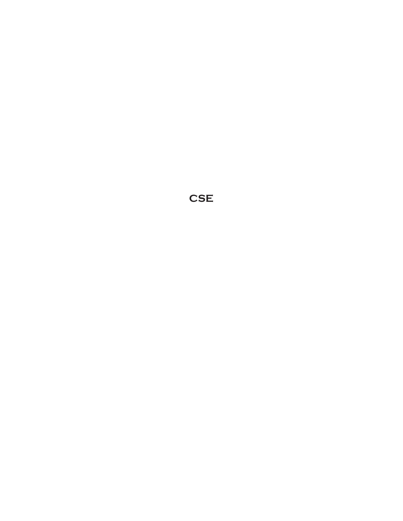**CSE**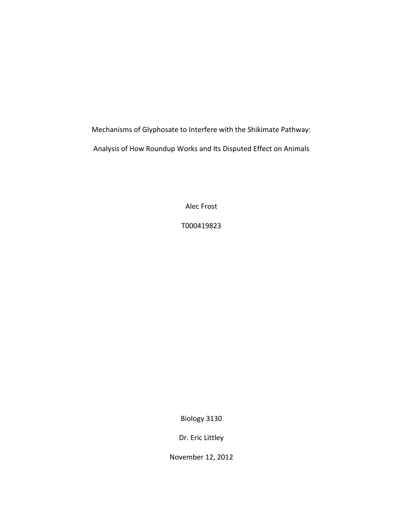Mechanisms of Glyphosate to Interfere with the Shikimate Pathway: Analysis of How Roundup Works and Its Disputed Effect on Animals

Alec Frost

T000419823

Biology 3130

Dr. Eric Littley

November 12, 2012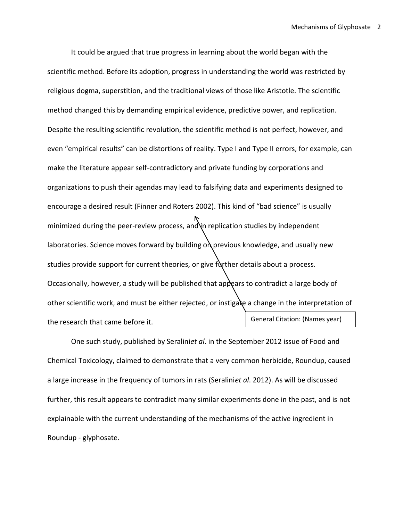It could be argued that true progress in learning about the world began with the scientific method. Before its adoption, progress in understanding the world was restricted by religious dogma, superstition, and the traditional views of those like Aristotle. The scientific method changed this by demanding empirical evidence, predictive power, and replication. Despite the resulting scientific revolution, the scientific method is not perfect, however, and even "empirical results" can be distortions of reality. Type I and Type II errors, for example, can make the literature appear self-contradictory and private funding by corporations and organizations to push their agendas may lead to falsifying data and experiments designed to encourage a desired result (Finner and Roters 2002). This kind of "bad science" is usually minimized during the peer-review process, and in replication studies by independent laboratories. Science moves forward by building  $o$  previous knowledge, and usually new studies provide support for current theories, or give further details about a process. Occasionally, however, a study will be published that appears to contradict a large body of other scientific work, and must be either rejected, or instigate a change in the interpretation of the research that came before it. General Citation: (Names year)

One such study, published by Seralini*et al*. in the September 2012 issue of Food and Chemical Toxicology, claimed to demonstrate that a very common herbicide, Roundup, caused a large increase in the frequency of tumors in rats (Seralini*et al*. 2012). As will be discussed further, this result appears to contradict many similar experiments done in the past, and is not explainable with the current understanding of the mechanisms of the active ingredient in Roundup - glyphosate.